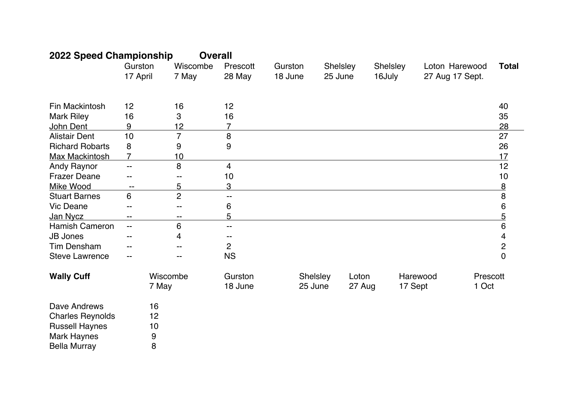| 2022 Speed Championship |                          | <b>Overall</b>    |                         |                    |                     |                 |                    |                                   |                         |
|-------------------------|--------------------------|-------------------|-------------------------|--------------------|---------------------|-----------------|--------------------|-----------------------------------|-------------------------|
|                         | Gurston<br>17 April      | Wiscombe<br>7 May | Prescott<br>28 May      | Gurston<br>18 June | Shelsley<br>25 June |                 | Shelsley<br>16July | Loton Harewood<br>27 Aug 17 Sept. | <b>Total</b>            |
|                         |                          |                   |                         |                    |                     |                 |                    |                                   |                         |
| Fin Mackintosh          | 12                       | 16                | 12                      |                    |                     |                 |                    |                                   | 40                      |
| <b>Mark Riley</b>       | 16                       | 3                 | 16                      |                    |                     |                 |                    |                                   | 35                      |
| John Dent               | 9                        | 12                | $\overline{7}$          |                    |                     |                 |                    |                                   | 28                      |
| <b>Alistair Dent</b>    | 10                       | $\overline{7}$    | 8                       |                    |                     |                 |                    |                                   | 27                      |
| <b>Richard Robarts</b>  | 8                        | 9                 | 9                       |                    |                     |                 |                    |                                   | 26                      |
| Max Mackintosh          | $\overline{7}$           | 10                |                         |                    |                     |                 |                    |                                   | 17                      |
| <b>Andy Raynor</b>      | $\overline{\phantom{a}}$ | 8                 | $\overline{\mathbf{4}}$ |                    |                     |                 |                    |                                   | 12                      |
| <b>Frazer Deane</b>     | --                       | --                | 10                      |                    |                     |                 |                    |                                   | 10                      |
| Mike Wood               | --                       | 5                 | 3                       |                    |                     |                 |                    |                                   | $\overline{8}$          |
| <b>Stuart Barnes</b>    | $\,6\,$                  | $\overline{2}$    | --                      |                    |                     |                 |                    |                                   | $\bf 8$                 |
| Vic Deane               |                          |                   | 6                       |                    |                     |                 |                    |                                   | 6                       |
| Jan Nycz                | --                       | --                | 5                       |                    |                     |                 |                    |                                   | <u>5</u>                |
| Hamish Cameron          | $\overline{\phantom{a}}$ | $\,6$             | --                      |                    |                     |                 |                    |                                   | 6                       |
| <b>JB Jones</b>         |                          | 4                 |                         |                    |                     |                 |                    |                                   | $\overline{\mathbf{4}}$ |
| <b>Tim Densham</b>      |                          |                   | $\overline{c}$          |                    |                     |                 |                    |                                   | $\overline{c}$          |
| <b>Steve Lawrence</b>   |                          |                   | <b>NS</b>               |                    |                     |                 |                    |                                   | $\overline{0}$          |
| <b>Wally Cuff</b>       |                          | Wiscombe<br>7 May | Gurston<br>18 June      |                    | Shelsley<br>25 June | Loton<br>27 Aug | 17 Sept            | Harewood                          | Prescott<br>1 Oct       |
| Dave Andrews            | 16                       |                   |                         |                    |                     |                 |                    |                                   |                         |
| <b>Charles Reynolds</b> | 12                       |                   |                         |                    |                     |                 |                    |                                   |                         |
| <b>Russell Haynes</b>   | 10                       |                   |                         |                    |                     |                 |                    |                                   |                         |
| <b>Mark Haynes</b>      | 9                        |                   |                         |                    |                     |                 |                    |                                   |                         |
| <b>Bella Murray</b>     | 8                        |                   |                         |                    |                     |                 |                    |                                   |                         |